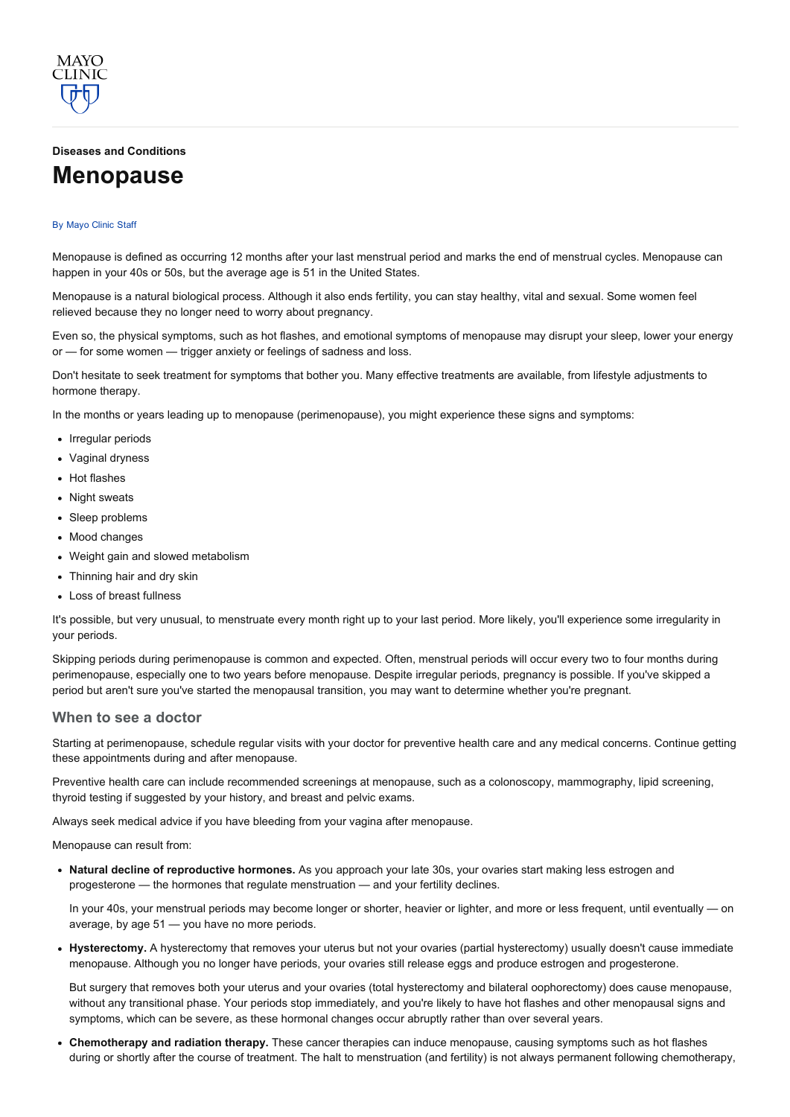## Diseases and [Conditions](http://www.mayoclinic.org/diseases-conditions)

# [Menopause](http://www.mayoclinic.org/diseases-conditions/menopause/basics/definition/con-20019726)

#### By [Mayo](http://www.mayoclinic.org/about-this-site/welcome) Clinic Staff

**MAYO** 

Menopause is defined as occurring 12 months after your last menstrual period and marks the end of menstrual cycles. Menopause can happen in your 40s or 50s, but the average age is 51 in the United States.

Menopause is a natural biological process. Although it also ends fertility, you can stay healthy, vital and sexual. Some women feel relieved because they no longer need to worry about pregnancy.

Even so, the physical symptoms, such as hot flashes, and emotional symptoms of menopause may disrupt your sleep, lower your energy or — for some women — trigger anxiety or feelings of sadness and loss.

Don't hesitate to seek treatment for symptoms that bother you. Many effective treatments are available, from lifestyle adjustments to hormone therapy.

In the months or years leading up to menopause (perimenopause), you might experience these signs and symptoms:

- Irregular periods
- Vaginal dryness
- Hot flashes
- Night sweats
- Sleep problems
- Mood changes
- Weight gain and slowed metabolism
- Thinning hair and dry skin
- Loss of breast fullness

It's possible, but very unusual, to menstruate every month right up to your last period. More likely, you'll experience some irregularity in your periods.

Skipping periods during perimenopause is common and expected. Often, menstrual periods will occur every two to four months during perimenopause, especially one to two years before menopause. Despite irregular periods, pregnancy is possible. If you've skipped a period but aren't sure you've started the menopausal transition, you may want to determine whether you're pregnant.

## When to see a doctor

Starting at perimenopause, schedule regular visits with your doctor for preventive health care and any medical concerns. Continue getting these appointments during and after menopause.

Preventive health care can include recommended screenings at menopause, such as a colonoscopy, mammography, lipid screening, thyroid testing if suggested by your history, and breast and pelvic exams.

Always seek medical advice if you have bleeding from your vagina after menopause.

Menopause can result from:

• Natural decline of reproductive hormones. As you approach your late 30s, your ovaries start making less estrogen and progesterone — the hormones that regulate menstruation — and your fertility declines.

In your 40s, your menstrual periods may become longer or shorter, heavier or lighter, and more or less frequent, until eventually — on average, by age 51 — you have no more periods.

• Hysterectomy. A hysterectomy that removes your uterus but not your ovaries (partial hysterectomy) usually doesn't cause immediate menopause. Although you no longer have periods, your ovaries still release eggs and produce estrogen and progesterone.

But surgery that removes both your uterus and your ovaries (total hysterectomy and bilateral oophorectomy) does cause menopause, without any transitional phase. Your periods stop immediately, and you're likely to have hot flashes and other menopausal signs and symptoms, which can be severe, as these hormonal changes occur abruptly rather than over several years.

• Chemotherapy and radiation therapy. These cancer therapies can induce menopause, causing symptoms such as hot flashes during or shortly after the course of treatment. The halt to menstruation (and fertility) is not always permanent following chemotherapy,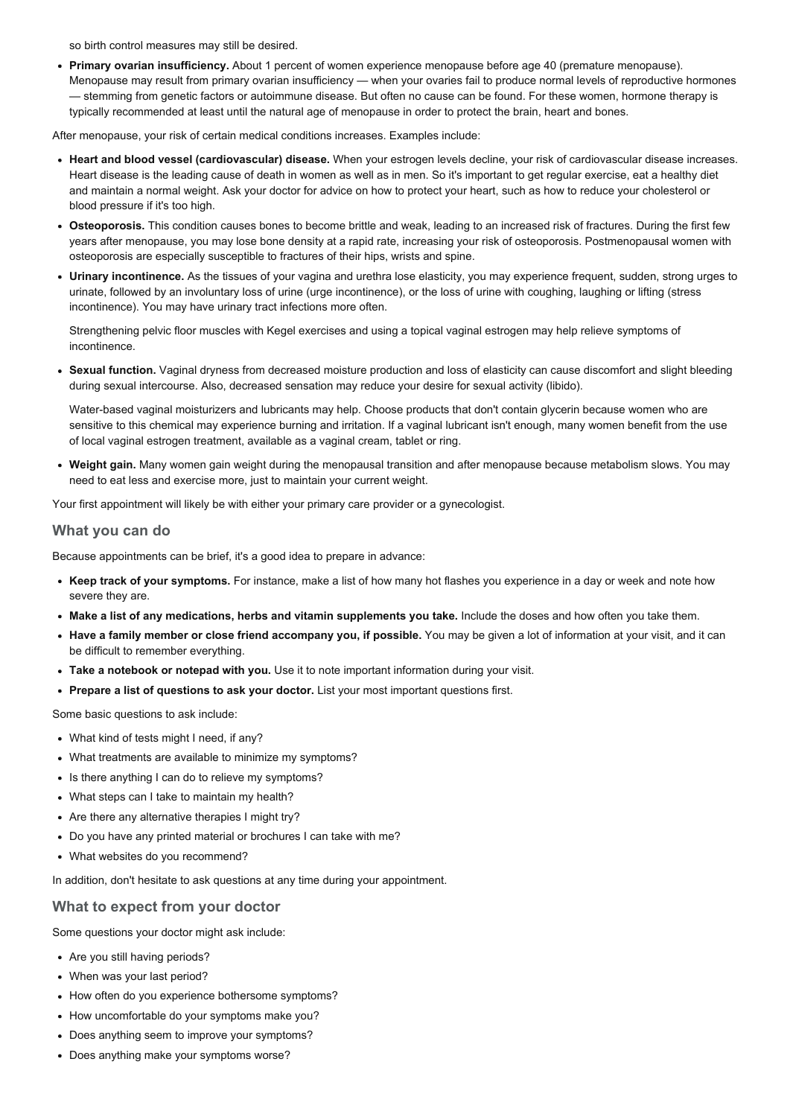so birth control measures may still be desired.

Primary ovarian insufficiency. About 1 percent of women experience menopause before age 40 (premature menopause). Menopause may result from primary ovarian insufficiency — when your ovaries fail to produce normal levels of reproductive hormones — stemming from genetic factors or autoimmune disease. But often no cause can be found. For these women, hormone therapy is typically recommended at least until the natural age of menopause in order to protect the brain, heart and bones.

After menopause, your risk of certain medical conditions increases. Examples include:

- Heart and blood vessel (cardiovascular) disease. When your estrogen levels decline, your risk of cardiovascular disease increases. Heart disease is the leading cause of death in women as well as in men. So it's important to get regular exercise, eat a healthy diet and maintain a normal weight. Ask your doctor for advice on how to protect your heart, such as how to reduce your cholesterol or blood pressure if it's too high.
- Osteoporosis. This condition causes bones to become brittle and weak, leading to an increased risk of fractures. During the first few years after menopause, you may lose bone density at a rapid rate, increasing your risk of osteoporosis. Postmenopausal women with osteoporosis are especially susceptible to fractures of their hips, wrists and spine.
- Urinary incontinence. As the tissues of your vagina and urethra lose elasticity, you may experience frequent, sudden, strong urges to urinate, followed by an involuntary loss of urine (urge incontinence), or the loss of urine with coughing, laughing or lifting (stress incontinence). You may have urinary tract infections more often.

Strengthening pelvic floor muscles with Kegel exercises and using a topical vaginal estrogen may help relieve symptoms of incontinence.

• Sexual function. Vaginal dryness from decreased moisture production and loss of elasticity can cause discomfort and slight bleeding during sexual intercourse. Also, decreased sensation may reduce your desire for sexual activity (libido).

Water-based vaginal moisturizers and lubricants may help. Choose products that don't contain glycerin because women who are sensitive to this chemical may experience burning and irritation. If a vaginal lubricant isn't enough, many women benefit from the use of local vaginal estrogen treatment, available as a vaginal cream, tablet or ring.

• Weight gain. Many women gain weight during the menopausal transition and after menopause because metabolism slows. You may need to eat less and exercise more, just to maintain your current weight.

Your first appointment will likely be with either your primary care provider or a gynecologist.

# What you can do

Because appointments can be brief, it's a good idea to prepare in advance:

- Keep track of your symptoms. For instance, make a list of how many hot flashes you experience in a day or week and note how severe they are.
- Make a list of any medications, herbs and vitamin supplements you take. Include the doses and how often you take them.
- Have a family member or close friend accompany you, if possible. You may be given a lot of information at your visit, and it can be difficult to remember everything.
- Take a notebook or notepad with you. Use it to note important information during your visit.
- Prepare a list of questions to ask your doctor. List your most important questions first.

Some basic questions to ask include:

- What kind of tests might I need, if any?
- What treatments are available to minimize my symptoms?
- Is there anything I can do to relieve my symptoms?
- What steps can I take to maintain my health?
- Are there any alternative therapies I might try?
- Do you have any printed material or brochures I can take with me?
- What websites do you recommend?

In addition, don't hesitate to ask questions at any time during your appointment.

# What to expect from your doctor

Some questions your doctor might ask include:

- Are you still having periods?
- When was your last period?
- How often do you experience bothersome symptoms?
- How uncomfortable do your symptoms make you?
- Does anything seem to improve your symptoms?
- Does anything make your symptoms worse?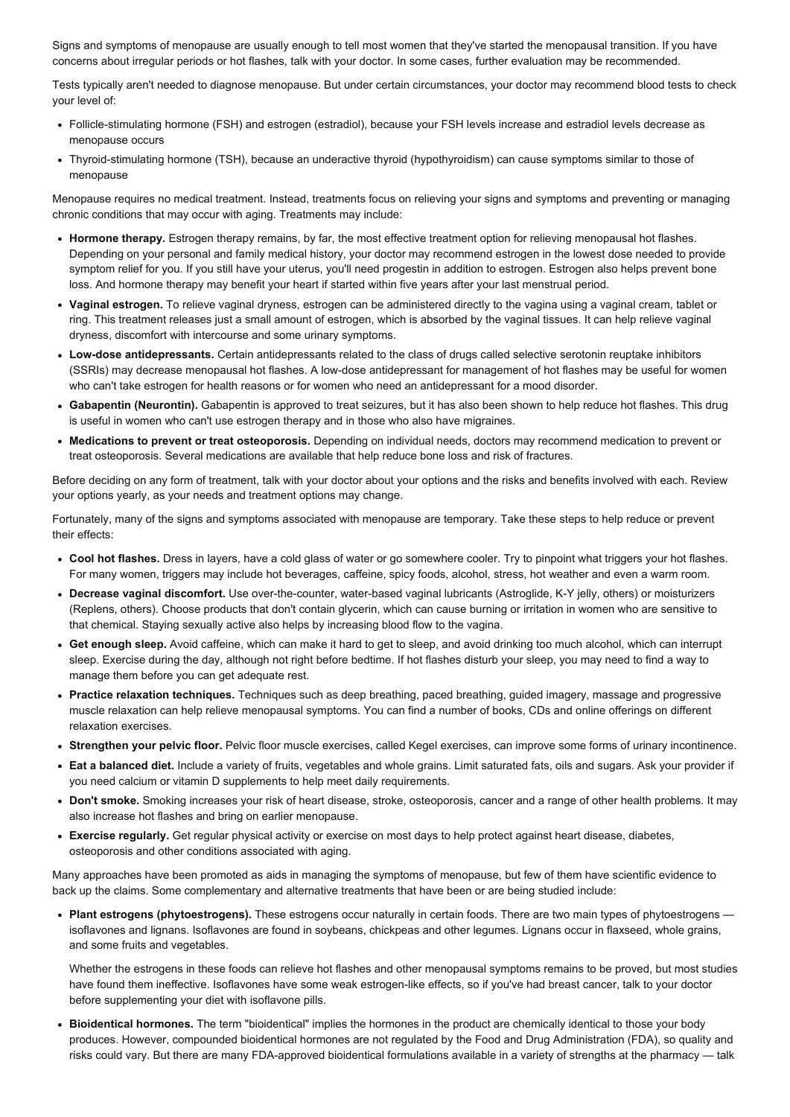Signs and symptoms of menopause are usually enough to tell most women that they've started the menopausal transition. If you have concerns about irregular periods or hot flashes, talk with your doctor. In some cases, further evaluation may be recommended.

Tests typically aren't needed to diagnose menopause. But under certain circumstances, your doctor may recommend blood tests to check your level of:

- Folliclestimulating hormone (FSH) and estrogen (estradiol), because your FSH levels increase and estradiol levels decrease as menopause occurs
- Thyroid-stimulating hormone (TSH), because an underactive thyroid (hypothyroidism) can cause symptoms similar to those of menopause

Menopause requires no medical treatment. Instead, treatments focus on relieving your signs and symptoms and preventing or managing chronic conditions that may occur with aging. Treatments may include:

- Hormone therapy. Estrogen therapy remains, by far, the most effective treatment option for relieving menopausal hot flashes. Depending on your personal and family medical history, your doctor may recommend estrogen in the lowest dose needed to provide symptom relief for you. If you still have your uterus, you'll need progestin in addition to estrogen. Estrogen also helps prevent bone loss. And hormone therapy may benefit your heart if started within five years after your last menstrual period.
- Vaginal estrogen. To relieve vaginal dryness, estrogen can be administered directly to the vagina using a vaginal cream, tablet or ring. This treatment releases just a small amount of estrogen, which is absorbed by the vaginal tissues. It can help relieve vaginal dryness, discomfort with intercourse and some urinary symptoms.
- Low-dose antidepressants. Certain antidepressants related to the class of drugs called selective serotonin reuptake inhibitors (SSRIs) may decrease menopausal hot flashes. A low-dose antidepressant for management of hot flashes may be useful for women who can't take estrogen for health reasons or for women who need an antidepressant for a mood disorder.
- Gabapentin (Neurontin). Gabapentin is approved to treat seizures, but it has also been shown to help reduce hot flashes. This drug is useful in women who can't use estrogen therapy and in those who also have migraines.
- Medications to prevent or treat osteoporosis. Depending on individual needs, doctors may recommend medication to prevent or treat osteoporosis. Several medications are available that help reduce bone loss and risk of fractures.

Before deciding on any form of treatment, talk with your doctor about your options and the risks and benefits involved with each. Review your options yearly, as your needs and treatment options may change.

Fortunately, many of the signs and symptoms associated with menopause are temporary. Take these steps to help reduce or prevent their effects:

- Cool hot flashes. Dress in layers, have a cold glass of water or go somewhere cooler. Try to pinpoint what triggers your hot flashes. For many women, triggers may include hot beverages, caffeine, spicy foods, alcohol, stress, hot weather and even a warm room.
- Decrease vaginal discomfort. Use over-the-counter, water-based vaginal lubricants (Astroglide, K-Y jelly, others) or moisturizers (Replens, others). Choose products that don't contain glycerin, which can cause burning or irritation in women who are sensitive to that chemical. Staying sexually active also helps by increasing blood flow to the vagina.
- Get enough sleep. Avoid caffeine, which can make it hard to get to sleep, and avoid drinking too much alcohol, which can interrupt sleep. Exercise during the day, although not right before bedtime. If hot flashes disturb your sleep, you may need to find a way to manage them before you can get adequate rest.
- Practice relaxation techniques. Techniques such as deep breathing, paced breathing, guided imagery, massage and progressive muscle relaxation can help relieve menopausal symptoms. You can find a number of books, CDs and online offerings on different relaxation exercises.
- Strengthen your pelvic floor. Pelvic floor muscle exercises, called Kegel exercises, can improve some forms of urinary incontinence.
- Eat a balanced diet. Include a variety of fruits, vegetables and whole grains. Limit saturated fats, oils and sugars. Ask your provider if you need calcium or vitamin D supplements to help meet daily requirements.
- Don't smoke. Smoking increases your risk of heart disease, stroke, osteoporosis, cancer and a range of other health problems. It may also increase hot flashes and bring on earlier menopause.
- Exercise regularly. Get regular physical activity or exercise on most days to help protect against heart disease, diabetes, osteoporosis and other conditions associated with aging.

Many approaches have been promoted as aids in managing the symptoms of menopause, but few of them have scientific evidence to back up the claims. Some complementary and alternative treatments that have been or are being studied include:

• Plant estrogens (phytoestrogens). These estrogens occur naturally in certain foods. There are two main types of phytoestrogens isoflavones and lignans. Isoflavones are found in soybeans, chickpeas and other legumes. Lignans occur in flaxseed, whole grains, and some fruits and vegetables.

Whether the estrogens in these foods can relieve hot flashes and other menopausal symptoms remains to be proved, but most studies have found them ineffective. Isoflavones have some weak estrogen-like effects, so if you've had breast cancer, talk to your doctor before supplementing your diet with isoflavone pills.

• Bioidentical hormones. The term "bioidentical" implies the hormones in the product are chemically identical to those your body produces. However, compounded bioidentical hormones are not regulated by the Food and Drug Administration (FDA), so quality and risks could vary. But there are many FDA-approved bioidentical formulations available in a variety of strengths at the pharmacy - talk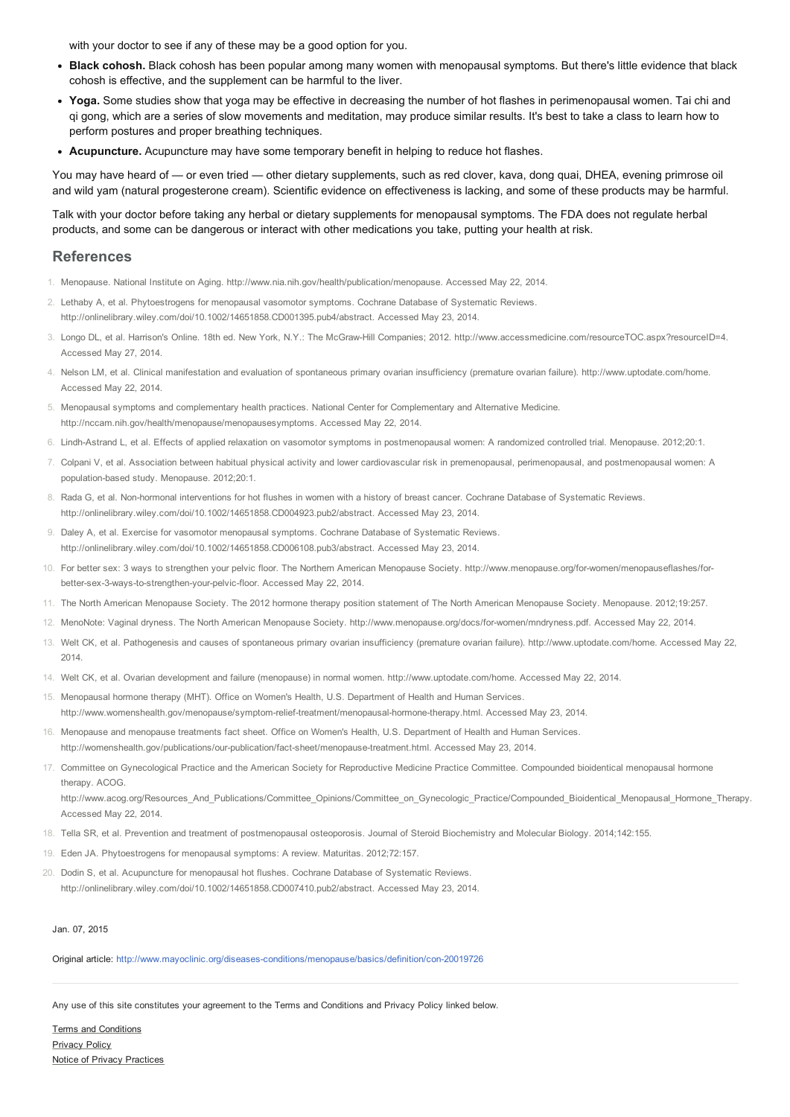with your doctor to see if any of these may be a good option for you.

- Black cohosh. Black cohosh has been popular among many women with menopausal symptoms. But there's little evidence that black cohosh is effective, and the supplement can be harmful to the liver.
- Yoga. Some studies show that yoga may be effective in decreasing the number of hot flashes in perimenopausal women. Tai chi and qi gong, which are a series of slow movements and meditation, may produce similar results. It's best to take a class to learn how to perform postures and proper breathing techniques.
- Acupuncture. Acupuncture may have some temporary benefit in helping to reduce hot flashes.

You may have heard of — or even tried — other dietary supplements, such as red clover, kava, dong quai, DHEA, evening primrose oil and wild yam (natural progesterone cream). Scientific evidence on effectiveness is lacking, and some of these products may be harmful.

Talk with your doctor before taking any herbal or dietary supplements for menopausal symptoms. The FDA does not regulate herbal products, and some can be dangerous or interact with other medications you take, putting your health at risk.

## **References**

- 1. Menopause. National Institute on Aging. http://www.nia.nih.gov/health/publication/menopause. Accessed May 22, 2014.
- 2. Lethaby A, et al. Phytoestrogens for menopausal vasomotor symptoms. Cochrane Database of Systematic Reviews.

http://onlinelibrary.wiley.com/doi/10.1002/14651858.CD001395.pub4/abstract. Accessed May 23, 2014.

- 3. Longo DL, et al. Harrison's Online. 18th ed. New York, N.Y.: The McGraw-Hill Companies; 2012. http://www.accessmedicine.com/resourceTOC.aspx?resourceID=4. Accessed May 27, 2014.
- 4. Nelson LM, et al. Clinical manifestation and evaluation of spontaneous primary ovarian insufficiency (premature ovarian failure). http://www.uptodate.com/home. Accessed May 22, 2014.
- 5. Menopausal symptoms and complementary health practices. National Center for Complementary and Alternative Medicine. http://nccam.nih.gov/health/menopause/menopausesymptoms. Accessed May 22, 2014.
- 6. LindhAstrand L, et al. Effects of applied relaxation on vasomotor symptoms in postmenopausal women: A randomized controlled trial. Menopause. 2012;20:1.
- 7. Colpani V, et al. Association between habitual physical activity and lower cardiovascular risk in premenopausal, perimenopausal, and postmenopausal women: A population-based study. Menopause. 2012;20:1.
- 8. Rada G, et al. Non-hormonal interventions for hot flushes in women with a history of breast cancer. Cochrane Database of Systematic Reviews. http://onlinelibrary.wiley.com/doi/10.1002/14651858.CD004923.pub2/abstract. Accessed May 23, 2014.
- 9. Daley A, et al. Exercise for vasomotor menopausal symptoms. Cochrane Database of Systematic Reviews. http://onlinelibrary.wiley.com/doi/10.1002/14651858.CD006108.pub3/abstract. Accessed May 23, 2014.
- 10. For better sex: 3 ways to strengthen your pelvic floor. The Northern American Menopause Society. http://www.menopause.org/forwomen/menopauseflashes/forbetter-sex-3-ways-to-strengthen-your-pelvic-floor. Accessed May 22, 2014.
- 11. The North American Menopause Society. The 2012 hormone therapy position statement of The North American Menopause Society. Menopause. 2012;19:257.
- 12. MenoNote: Vaginal dryness. The North American Menopause Society. http://www.menopause.org/docs/forwomen/mndryness.pdf. Accessed May 22, 2014.
- 13. Welt CK, et al. Pathogenesis and causes of spontaneous primary ovarian insufficiency (premature ovarian failure). http://www.uptodate.com/home. Accessed May 22, 2014.
- 14. Welt CK, et al. Ovarian development and failure (menopause) in normal women. http://www.uptodate.com/home. Accessed May 22, 2014.
- 15. Menopausal hormone therapy (MHT). Office on Women's Health, U.S. Department of Health and Human Services. http://www.womenshealth.gov/menopause/symptom-relief-treatment/menopausal-hormone-therapy.html. Accessed May 23, 2014.
- 16. Menopause and menopause treatments fact sheet. Office on Women's Health, U.S. Department of Health and Human Services. http://womenshealth.gov/publications/our-publication/fact-sheet/menopause-treatment.html. Accessed May 23, 2014.
- 17. Committee on Gynecological Practice and the American Society for Reproductive Medicine Practice Committee. Compounded bioidentical menopausal hormone therapy. ACOG.

http://www.acog.org/Resources\_And\_Publications/Committee\_Opinions/Committee\_on\_Gynecologic\_Practice/Compounded\_Bioidentical\_Menopausal\_Hormone\_Therapy. Accessed May 22, 2014.

- 18. Tella SR, et al. Prevention and treatment of postmenopausal osteoporosis. Journal of Steroid Biochemistry and Molecular Biology. 2014;142:155.
- 19. Eden JA. Phytoestrogens for menopausal symptoms: A review. Maturitas. 2012;72:157.
- 20. Dodin S, et al. Acupuncture for menopausal hot flushes. Cochrane Database of Systematic Reviews. http://onlinelibrary.wiley.com/doi/10.1002/14651858.CD007410.pub2/abstract. Accessed May 23, 2014.

#### Jan. 07, 2015

Original article: http://www.mayoclinic.org/diseases-conditions/menopause/basics/definition/con-20019726

Any use of this site constitutes your agreement to the Terms and Conditions and Privacy Policy linked below.

Terms and [Conditions](http://www.mayoclinic.org/about-this-site/terms-conditions-use-policy) [Privacy](http://www.mayoclinic.org/about-this-site/privacy-policy) Policy Notice of Privacy [Practices](http://www.mayoclinic.org/about-mayo-clinic/notice-of-privacy-practices)